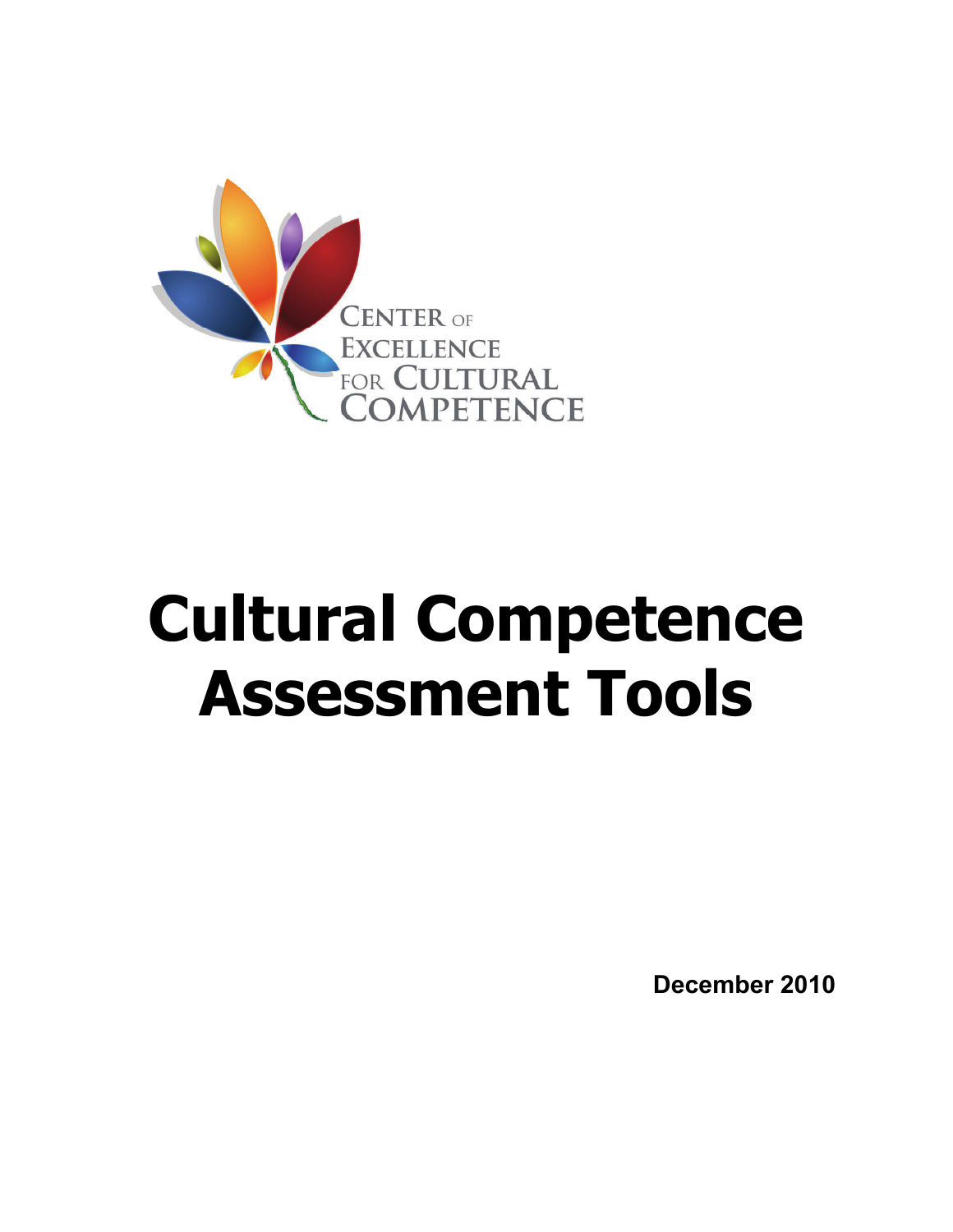

### **Cultural Competence Assessment Tools**

**December 2010**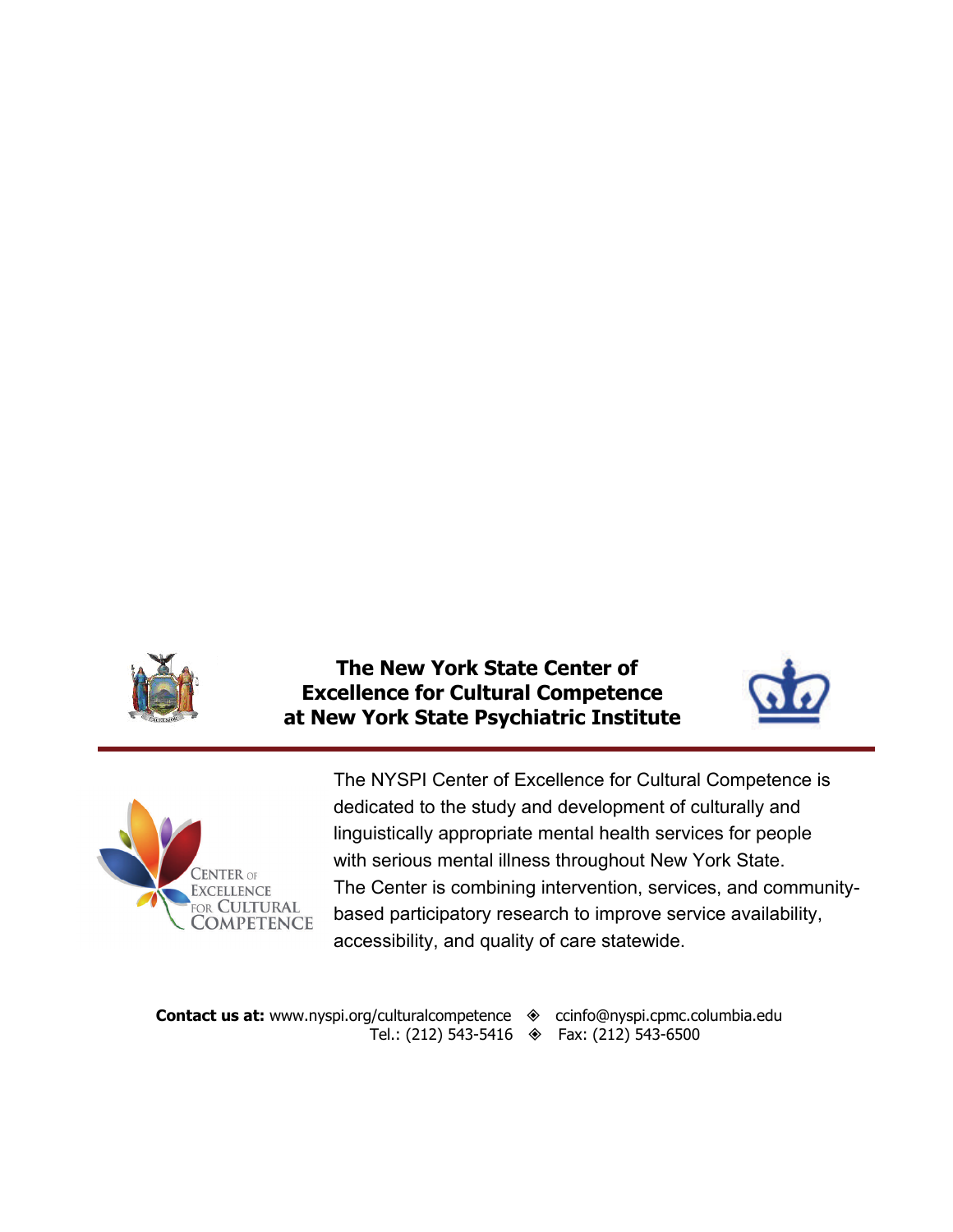

 **The New York State Center of Excellence for Cultural Competence at New York State Psychiatric Institute** 





The NYSPI Center of Excellence for Cultural Competence is dedicated to the study and development of culturally and linguistically appropriate mental health services for people with serious mental illness throughout New York State. The Center is combining intervention, services, and communitybased participatory research to improve service availability, accessibility, and quality of care statewide.

**Contact us at:** www.nyspi.org/culturalcompetence  $\diamondsuit$  ccinfo@nyspi.cpmc.columbia.edu Tel.: (212) 543-5416  $\quad \bullet$  Fax: (212) 543-6500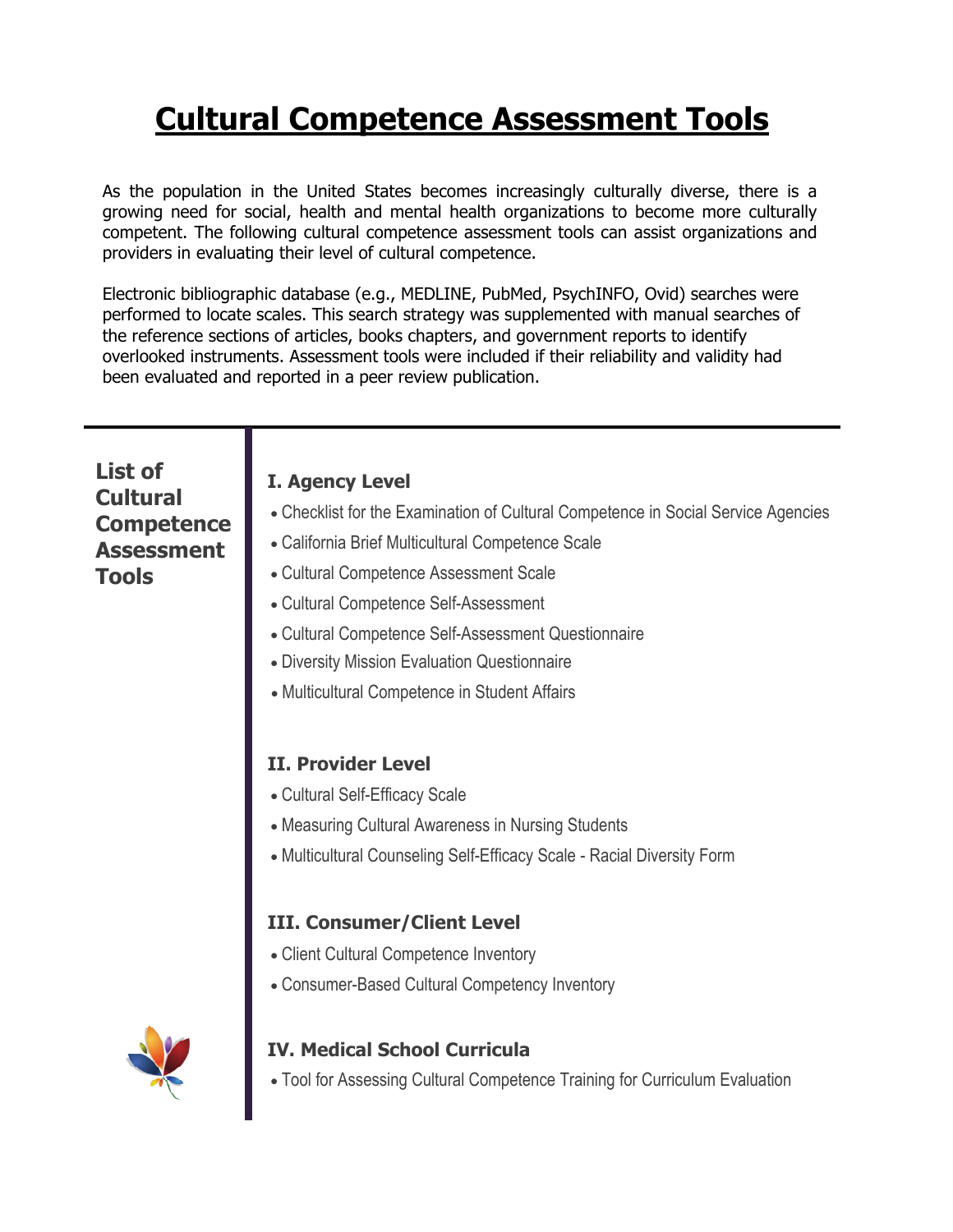### **Cultural Competence Assessment Tools**

As the population in the United States becomes increasingly culturally diverse, there is a growing need for social, health and mental health organizations to become more culturally competent. The following cultural competence assessment tools can assist organizations and providers in evaluating their level of cultural competence.

Electronic bibliographic database (e.g., MEDLINE, PubMed, PsychINFO, Ovid) searches were performed to locate scales. This search strategy was supplemented with manual searches of the reference sections of articles, books chapters, and government reports to identify overlooked instruments. Assessment tools were included if their reliability and validity had been evaluated and reported in a peer review publication.

| List of<br><b>Cultural</b><br><b>Competence</b><br><b>Assessment</b><br><b>Tools</b> | <b>I. Agency Level</b><br>• Checklist for the Examination of Cultural Competence in Social Service Agencies<br>• California Brief Multicultural Competence Scale<br>• Cultural Competence Assessment Scale<br>• Cultural Competence Self-Assessment<br>• Cultural Competence Self-Assessment Questionnaire<br>• Diversity Mission Evaluation Questionnaire<br>• Multicultural Competence in Student Affairs |
|--------------------------------------------------------------------------------------|-------------------------------------------------------------------------------------------------------------------------------------------------------------------------------------------------------------------------------------------------------------------------------------------------------------------------------------------------------------------------------------------------------------|
|                                                                                      | <b>II. Provider Level</b><br>• Cultural Self-Efficacy Scale<br>• Measuring Cultural Awareness in Nursing Students<br>• Multicultural Counseling Self-Efficacy Scale - Racial Diversity Form                                                                                                                                                                                                                 |
|                                                                                      | <b>III. Consumer/Client Level</b><br>• Client Cultural Competence Inventory<br>• Consumer-Based Cultural Competency Inventory                                                                                                                                                                                                                                                                               |
|                                                                                      | <b>IV. Medical School Curricula</b><br>• Tool for Assessing Cultural Competence Training for Curriculum Evaluation                                                                                                                                                                                                                                                                                          |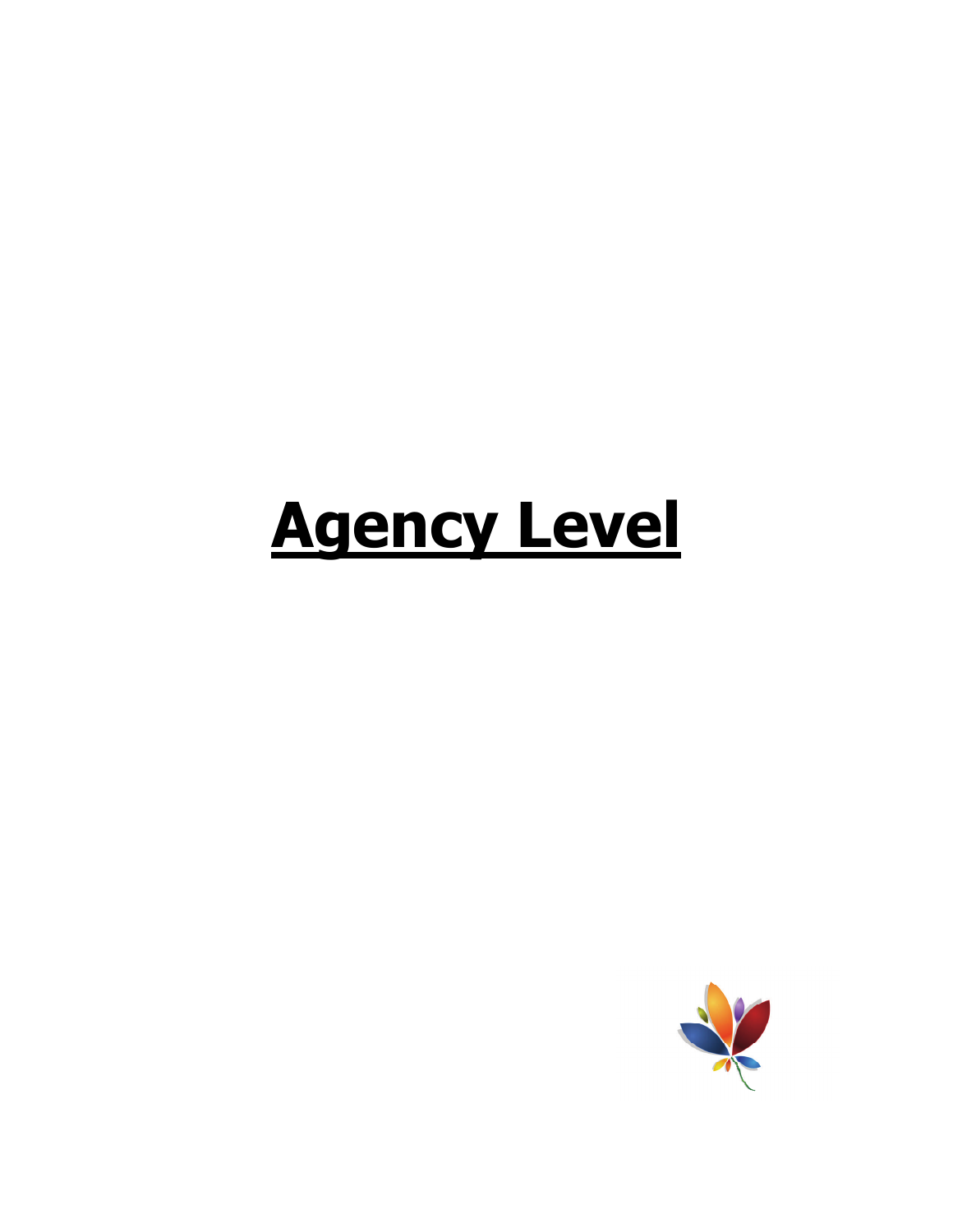## **Agency Level**

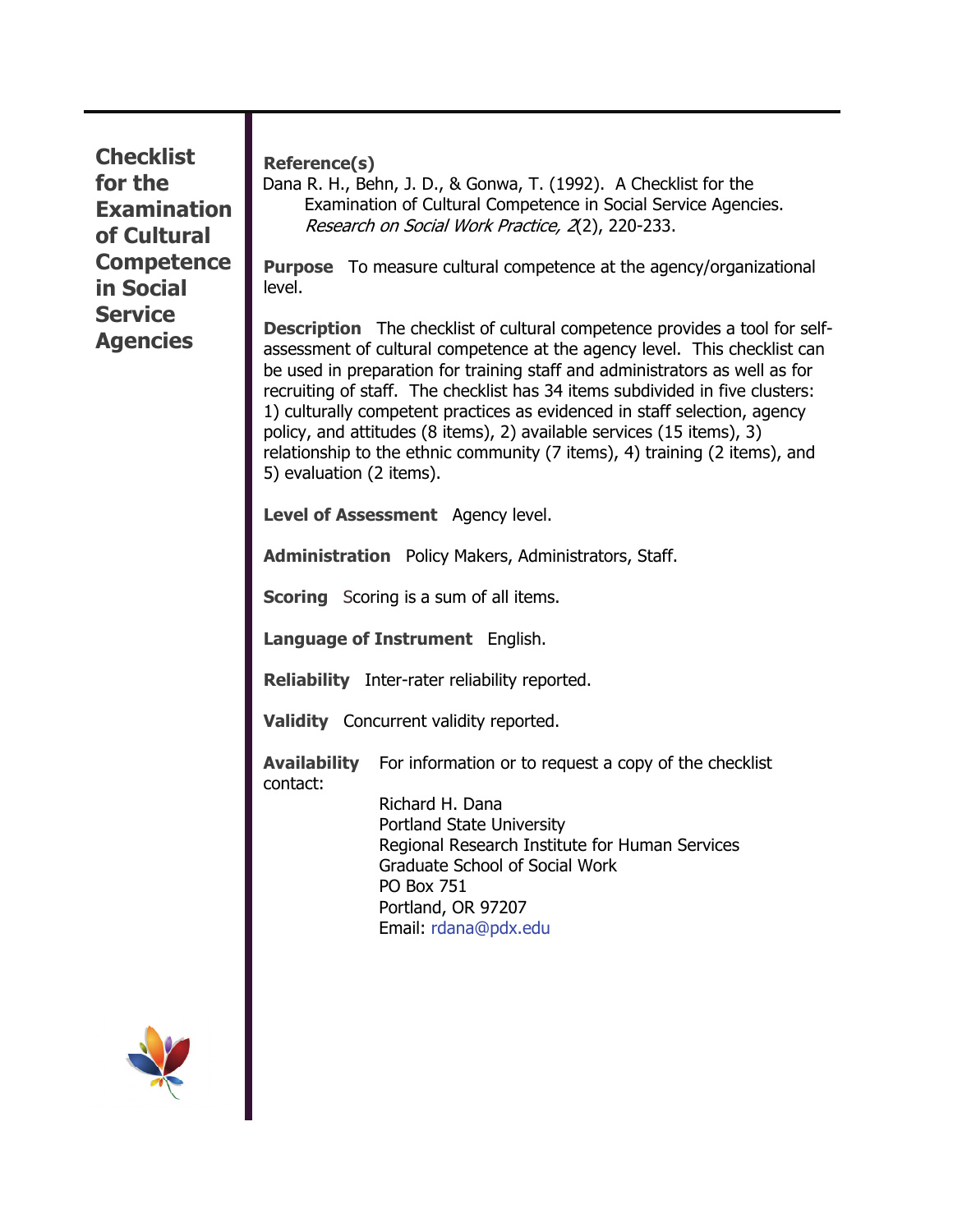**Checklist for the Examination of Cultural Competence in Social Service Agencies** 

**Reference(s)** 

Dana R. H., Behn, J. D., & Gonwa, T. (1992). A Checklist for the Examination of Cultural Competence in Social Service Agencies. Research on Social Work Practice, 2(2), 220-233.

**Purpose** To measure cultural competence at the agency/organizational level.

**Description** The checklist of cultural competence provides a tool for selfassessment of cultural competence at the agency level. This checklist can be used in preparation for training staff and administrators as well as for recruiting of staff. The checklist has 34 items subdivided in five clusters: 1) culturally competent practices as evidenced in staff selection, agency policy, and attitudes (8 items), 2) available services (15 items), 3) relationship to the ethnic community (7 items), 4) training (2 items), and 5) evaluation (2 items).

**Level of Assessment** Agency level.

**Administration** Policy Makers, Administrators, Staff.

**Scoring** Scoring is a sum of all items.

**Language of Instrument** English.

**Reliability** Inter-rater reliability reported.

**Validity** Concurrent validity reported.

**Availability** For information or to request a copy of the checklist contact:

> Richard H. Dana Portland State University Regional Research Institute for Human Services Graduate School of Social Work PO Box 751 Portland, OR 97207 Email: rdana@pdx.edu

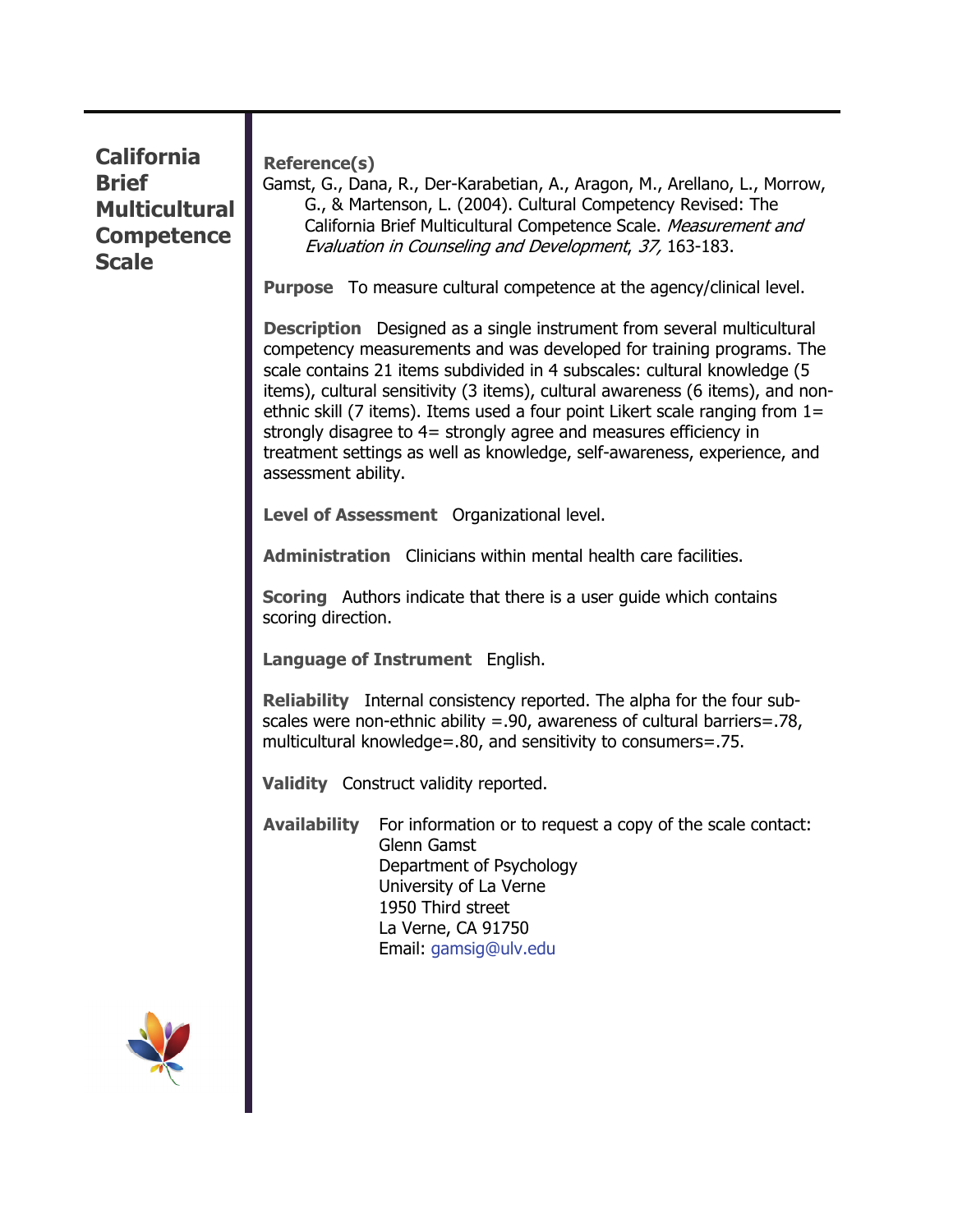#### **California Brief Multicultural Competence Scale**

**Reference(s)** 

Gamst, G., Dana, R., Der-Karabetian, A., Aragon, M., Arellano, L., Morrow, G., & Martenson, L. (2004). Cultural Competency Revised: The California Brief Multicultural Competence Scale. Measurement and Evaluation in Counseling and Development, 37, 163-183.

**Purpose** To measure cultural competence at the agency/clinical level.

**Description** Designed as a single instrument from several multicultural competency measurements and was developed for training programs. The scale contains 21 items subdivided in 4 subscales: cultural knowledge (5 items), cultural sensitivity (3 items), cultural awareness (6 items), and nonethnic skill (7 items). Items used a four point Likert scale ranging from 1= strongly disagree to 4= strongly agree and measures efficiency in treatment settings as well as knowledge, self-awareness, experience, and assessment ability.

**Level of Assessment** Organizational level.

**Administration** Clinicians within mental health care facilities.

**Scoring** Authors indicate that there is a user guide which contains scoring direction.

**Language of Instrument** English.

**Reliability** Internal consistency reported. The alpha for the four subscales were non-ethnic ability =.90, awareness of cultural barriers=.78, multicultural knowledge=.80, and sensitivity to consumers=.75.

**Validity** Construct validity reported.

**Availability** For information or to request a copy of the scale contact: Glenn Gamst Department of Psychology University of La Verne 1950 Third street La Verne, CA 91750 Email: [gamsig@ulv.edu](mailto:gamsig@ulv.edu)

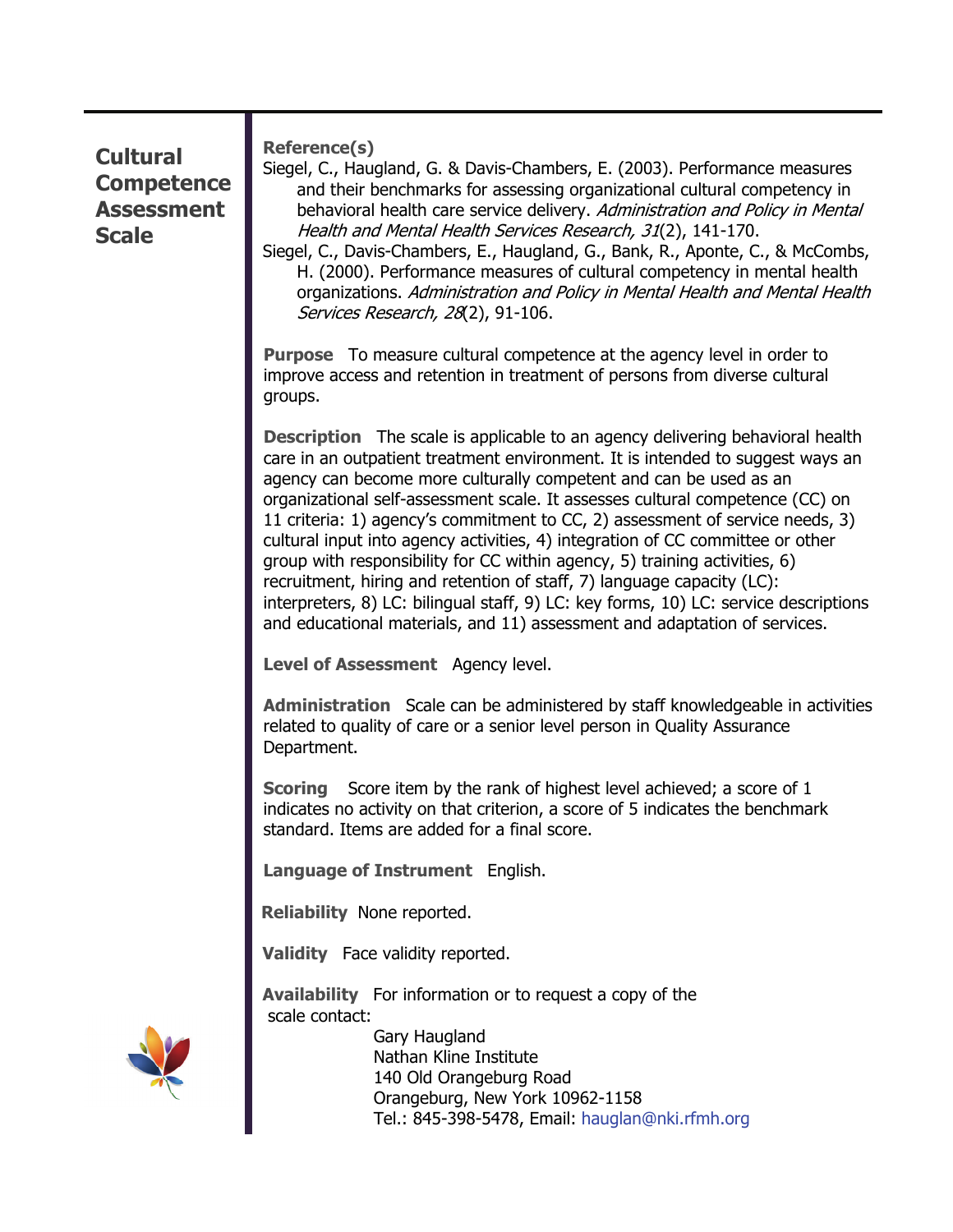#### **Cultural Competence Assessment Scale**

**Reference(s)** 

Siegel, C., Haugland, G. & Davis-Chambers, E. (2003). Performance measures and their benchmarks for assessing organizational cultural competency in behavioral health care service delivery. Administration and Policy in Mental Health and Mental Health Services Research, 31(2), 141-170.

Siegel, C., Davis-Chambers, E., Haugland, G., Bank, R., Aponte, C., & McCombs, H. (2000). Performance measures of cultural competency in mental health organizations. Administration and Policy in Mental Health and Mental Health Services Research, 28(2), 91-106.

**Purpose** To measure cultural competence at the agency level in order to improve access and retention in treatment of persons from diverse cultural groups.

**Description** The scale is applicable to an agency delivering behavioral health care in an outpatient treatment environment. It is intended to suggest ways an agency can become more culturally competent and can be used as an organizational self-assessment scale. It assesses cultural competence (CC) on 11 criteria: 1) agency's commitment to CC, 2) assessment of service needs, 3) cultural input into agency activities, 4) integration of CC committee or other group with responsibility for CC within agency, 5) training activities, 6) recruitment, hiring and retention of staff, 7) language capacity (LC): interpreters, 8) LC: bilingual staff, 9) LC: key forms, 10) LC: service descriptions and educational materials, and 11) assessment and adaptation of services.

**Level of Assessment** Agency level.

**Administration** Scale can be administered by staff knowledgeable in activities related to quality of care or a senior level person in Quality Assurance Department.

**Scoring** Score item by the rank of highest level achieved; a score of 1 indicates no activity on that criterion, a score of 5 indicates the benchmark standard. Items are added for a final score.

**Language of Instrument** English.

**Reliability** None reported.

**Validity** Face validity reported.

**Availability** For information or to request a copy of the scale contact:



 Gary Haugland Nathan Kline Institute 140 Old Orangeburg Road Orangeburg, New York 10962-1158 Tel.: 845-398-5478, Email: hauglan@nki.rfmh.org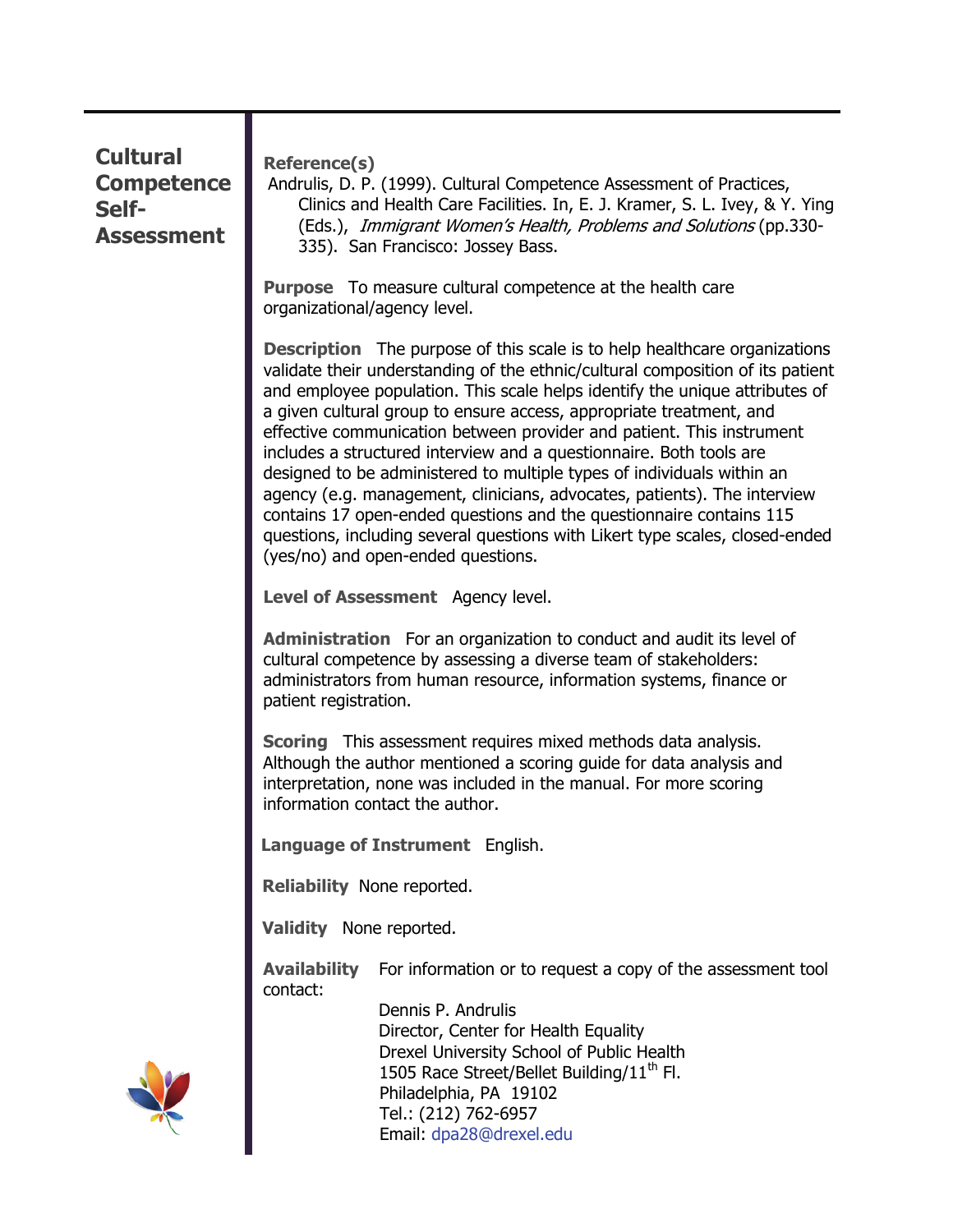| <b>Cultural</b><br><b>Competence</b><br>Self-<br><b>Assessment</b> | <b>Reference(s)</b><br>Andrulis, D. P. (1999). Cultural Competence Assessment of Practices,<br>Clinics and Health Care Facilities. In, E. J. Kramer, S. L. Ivey, & Y. Ying<br>(Eds.), Immigrant Women's Health, Problems and Solutions (pp.330-<br>335). San Francisco: Jossey Bass.                                                                                                                                                                                                                                                                                                                                                                                                                                                                                                                                        |
|--------------------------------------------------------------------|-----------------------------------------------------------------------------------------------------------------------------------------------------------------------------------------------------------------------------------------------------------------------------------------------------------------------------------------------------------------------------------------------------------------------------------------------------------------------------------------------------------------------------------------------------------------------------------------------------------------------------------------------------------------------------------------------------------------------------------------------------------------------------------------------------------------------------|
|                                                                    | <b>Purpose</b> To measure cultural competence at the health care<br>organizational/agency level.                                                                                                                                                                                                                                                                                                                                                                                                                                                                                                                                                                                                                                                                                                                            |
|                                                                    | <b>Description</b> The purpose of this scale is to help healthcare organizations<br>validate their understanding of the ethnic/cultural composition of its patient<br>and employee population. This scale helps identify the unique attributes of<br>a given cultural group to ensure access, appropriate treatment, and<br>effective communication between provider and patient. This instrument<br>includes a structured interview and a questionnaire. Both tools are<br>designed to be administered to multiple types of individuals within an<br>agency (e.g. management, clinicians, advocates, patients). The interview<br>contains 17 open-ended questions and the questionnaire contains 115<br>questions, including several questions with Likert type scales, closed-ended<br>(yes/no) and open-ended questions. |
|                                                                    | Level of Assessment Agency level.                                                                                                                                                                                                                                                                                                                                                                                                                                                                                                                                                                                                                                                                                                                                                                                           |
|                                                                    | <b>Administration</b> For an organization to conduct and audit its level of<br>cultural competence by assessing a diverse team of stakeholders:<br>administrators from human resource, information systems, finance or<br>patient registration.                                                                                                                                                                                                                                                                                                                                                                                                                                                                                                                                                                             |
|                                                                    | <b>Scoring</b> This assessment requires mixed methods data analysis.<br>Although the author mentioned a scoring guide for data analysis and<br>interpretation, none was included in the manual. For more scoring<br>information contact the author.                                                                                                                                                                                                                                                                                                                                                                                                                                                                                                                                                                         |
|                                                                    | Language of Instrument English.                                                                                                                                                                                                                                                                                                                                                                                                                                                                                                                                                                                                                                                                                                                                                                                             |
|                                                                    | Reliability None reported.                                                                                                                                                                                                                                                                                                                                                                                                                                                                                                                                                                                                                                                                                                                                                                                                  |
|                                                                    | Validity None reported.                                                                                                                                                                                                                                                                                                                                                                                                                                                                                                                                                                                                                                                                                                                                                                                                     |
|                                                                    | <b>Availability</b><br>For information or to request a copy of the assessment tool<br>contact:<br>Dennis P. Andrulis<br>Director, Center for Health Equality<br>Drexel University School of Public Health<br>1505 Race Street/Bellet Building/11 <sup>th</sup> Fl.<br>Philadelphia, PA 19102<br>Tel.: (212) 762-6957<br>Email: dpa28@drexel.edu                                                                                                                                                                                                                                                                                                                                                                                                                                                                             |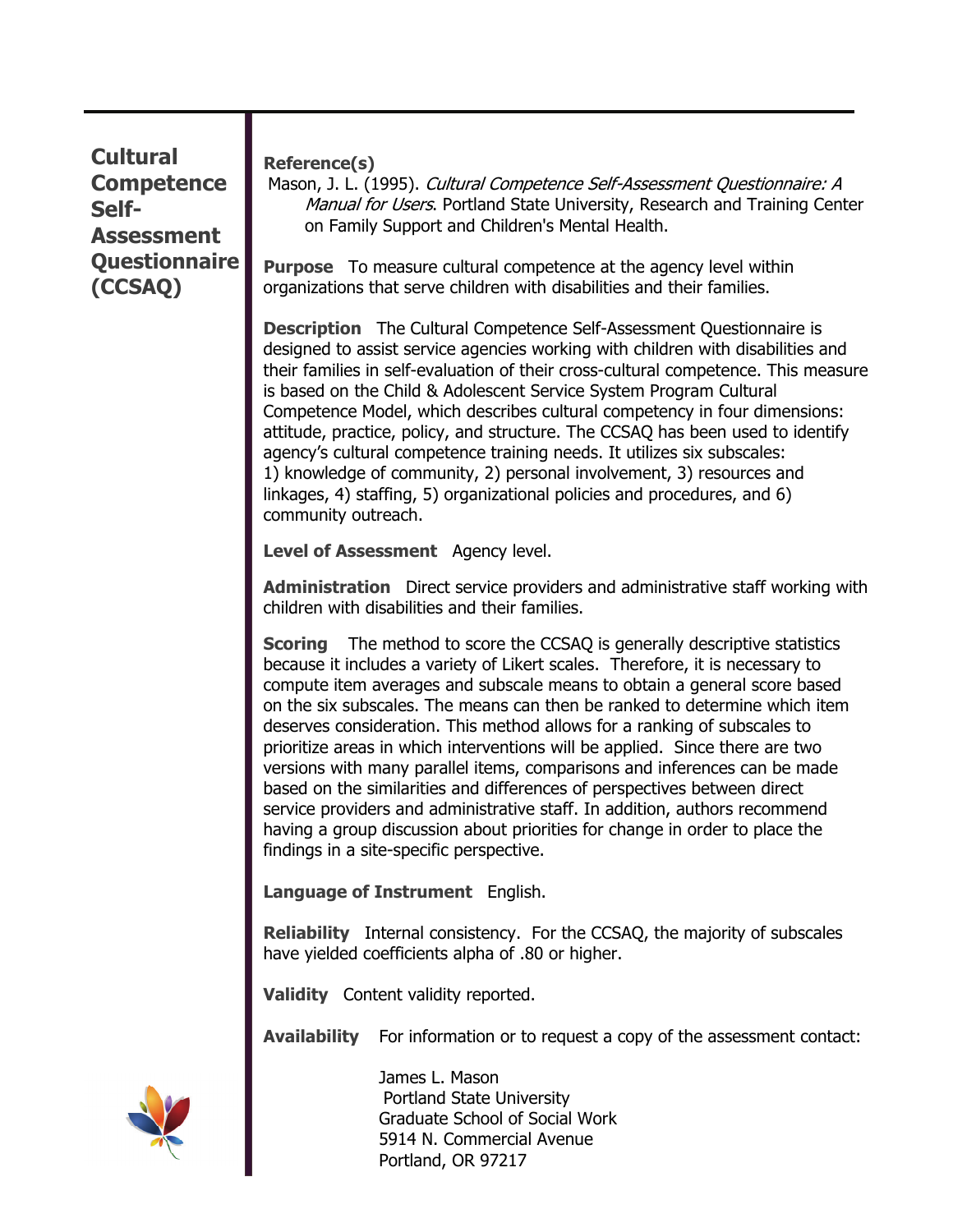#### **Cultural Competence Self-Assessment Questionnaire (CCSAQ)**

#### **Reference(s)**

Mason, J. L. (1995). Cultural Competence Self-Assessment Questionnaire: A Manual for Users. Portland State University, Research and Training Center on Family Support and Children's Mental Health.

**Purpose** To measure cultural competence at the agency level within organizations that serve children with disabilities and their families.

**Description** The Cultural Competence Self-Assessment Questionnaire is designed to assist service agencies working with children with disabilities and their families in self-evaluation of their cross-cultural competence. This measure is based on the Child & Adolescent Service System Program Cultural Competence Model, which describes cultural competency in four dimensions: attitude, practice, policy, and structure. The CCSAQ has been used to identify agency's cultural competence training needs. It utilizes six subscales: 1) knowledge of community, 2) personal involvement, 3) resources and linkages, 4) staffing, 5) organizational policies and procedures, and 6) community outreach.

**Level of Assessment** Agency level.

**Administration** Direct service providers and administrative staff working with children with disabilities and their families.

**Scoring** The method to score the CCSAQ is generally descriptive statistics because it includes a variety of Likert scales. Therefore, it is necessary to compute item averages and subscale means to obtain a general score based on the six subscales. The means can then be ranked to determine which item deserves consideration. This method allows for a ranking of subscales to prioritize areas in which interventions will be applied. Since there are two versions with many parallel items, comparisons and inferences can be made based on the similarities and differences of perspectives between direct service providers and administrative staff. In addition, authors recommend having a group discussion about priorities for change in order to place the findings in a site-specific perspective.

**Language of Instrument** English.

**Reliability** Internal consistency. For the CCSAQ, the majority of subscales have yielded coefficients alpha of .80 or higher.

**Validity** Content validity reported.

**Availability** For information or to request a copy of the assessment contact:



 James L. Mason Portland State University Graduate School of Social Work 5914 N. Commercial Avenue Portland, OR 97217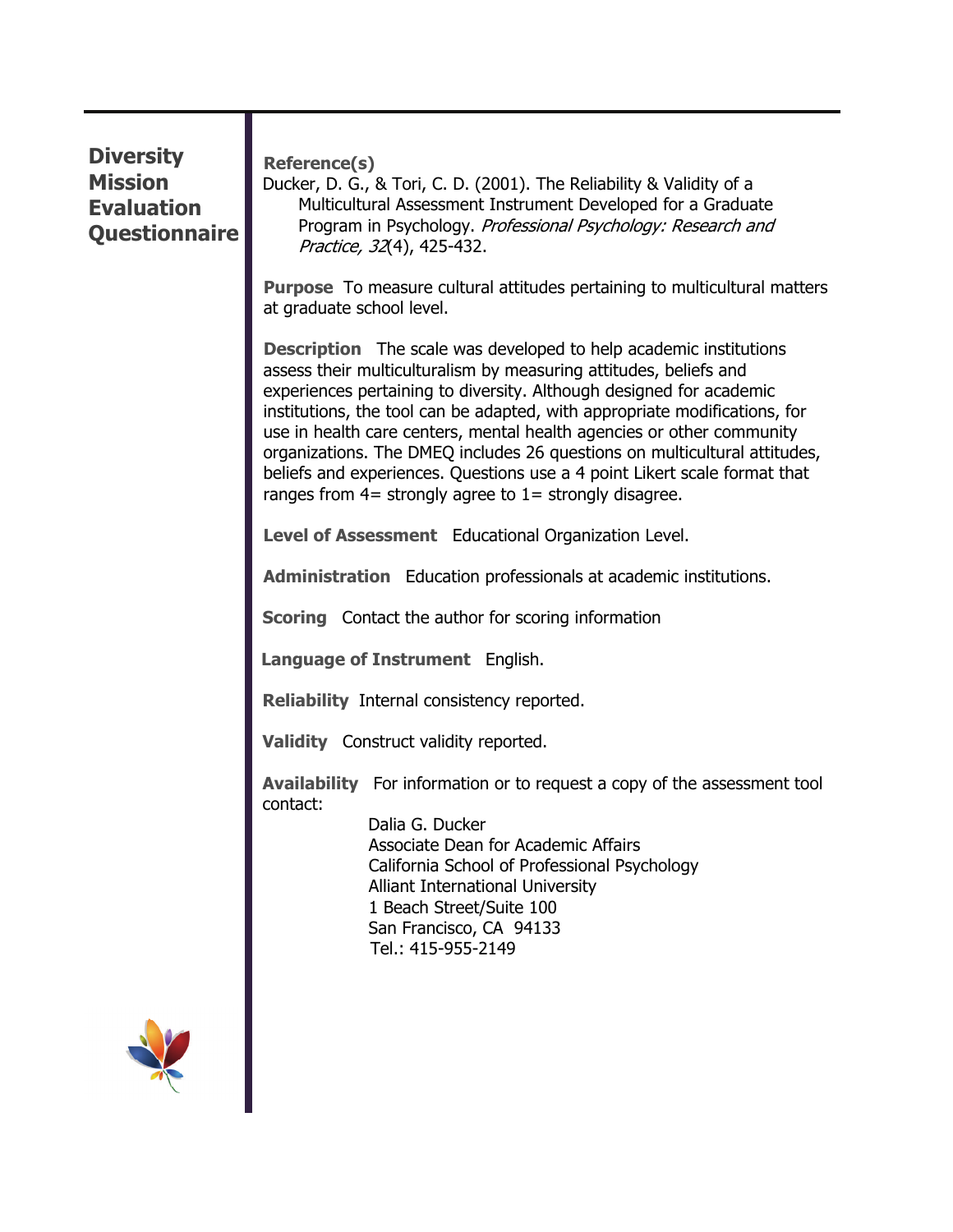| <b>Diversity</b><br><b>Mission</b><br><b>Evaluation</b><br><b>Questionnaire</b> | <b>Reference(s)</b><br>Ducker, D. G., & Tori, C. D. (2001). The Reliability & Validity of a<br>Multicultural Assessment Instrument Developed for a Graduate<br>Program in Psychology. Professional Psychology: Research and<br>Practice, 32(4), 425-432.                                                                                                                                                                                                                                                                                                                                            |
|---------------------------------------------------------------------------------|-----------------------------------------------------------------------------------------------------------------------------------------------------------------------------------------------------------------------------------------------------------------------------------------------------------------------------------------------------------------------------------------------------------------------------------------------------------------------------------------------------------------------------------------------------------------------------------------------------|
|                                                                                 | <b>Purpose</b> To measure cultural attitudes pertaining to multicultural matters<br>at graduate school level.                                                                                                                                                                                                                                                                                                                                                                                                                                                                                       |
|                                                                                 | <b>Description</b> The scale was developed to help academic institutions<br>assess their multiculturalism by measuring attitudes, beliefs and<br>experiences pertaining to diversity. Although designed for academic<br>institutions, the tool can be adapted, with appropriate modifications, for<br>use in health care centers, mental health agencies or other community<br>organizations. The DMEQ includes 26 questions on multicultural attitudes,<br>beliefs and experiences. Questions use a 4 point Likert scale format that<br>ranges from $4=$ strongly agree to $1=$ strongly disagree. |
|                                                                                 | Level of Assessment Educational Organization Level.                                                                                                                                                                                                                                                                                                                                                                                                                                                                                                                                                 |
|                                                                                 | <b>Administration</b> Education professionals at academic institutions.                                                                                                                                                                                                                                                                                                                                                                                                                                                                                                                             |
|                                                                                 | <b>Scoring</b> Contact the author for scoring information                                                                                                                                                                                                                                                                                                                                                                                                                                                                                                                                           |
|                                                                                 | Language of Instrument English.                                                                                                                                                                                                                                                                                                                                                                                                                                                                                                                                                                     |
|                                                                                 | Reliability Internal consistency reported.                                                                                                                                                                                                                                                                                                                                                                                                                                                                                                                                                          |
|                                                                                 | Validity Construct validity reported.                                                                                                                                                                                                                                                                                                                                                                                                                                                                                                                                                               |
|                                                                                 | <b>Availability</b> For information or to request a copy of the assessment tool<br>contact:<br>Dalia G. Ducker<br>Associate Dean for Academic Affairs<br>California School of Professional Psychology<br>Alliant International University<br>1 Beach Street/Suite 100<br>San Francisco, CA 94133<br>Tel.: 415-955-2149                                                                                                                                                                                                                                                                              |
|                                                                                 |                                                                                                                                                                                                                                                                                                                                                                                                                                                                                                                                                                                                     |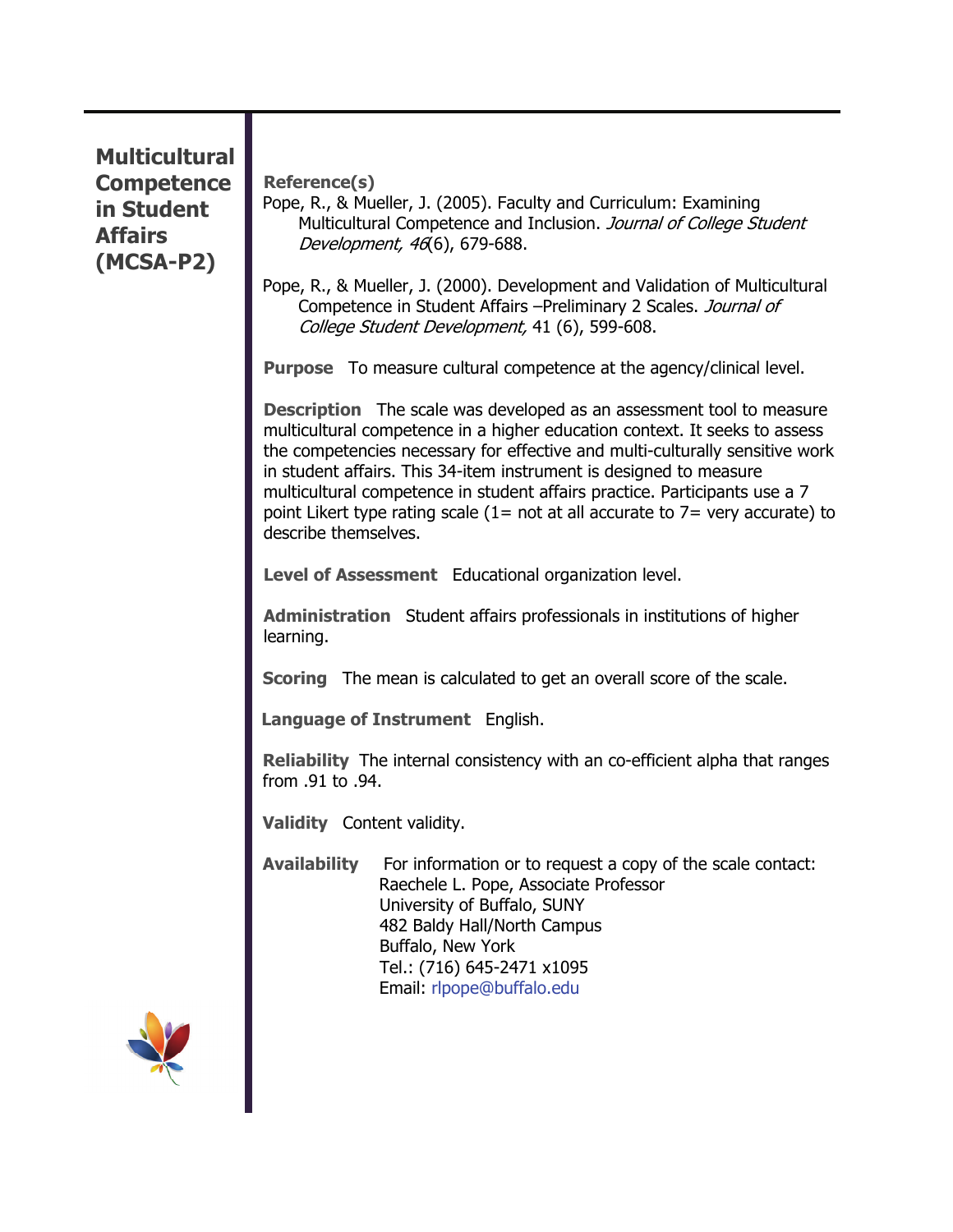#### **Multicultural Competence in Student Affairs (MCSA-P2)**

**Reference(s)** 

Pope, R., & Mueller, J. (2005). Faculty and Curriculum: Examining Multicultural Competence and Inclusion. Journal of College Student Development, 46(6), 679-688.

Pope, R., & Mueller, J. (2000). Development and Validation of Multicultural Competence in Student Affairs –Preliminary 2 Scales. Journal of College Student Development, 41 (6), 599-608.

**Purpose** To measure cultural competence at the agency/clinical level.

**Description** The scale was developed as an assessment tool to measure multicultural competence in a higher education context. It seeks to assess the competencies necessary for effective and multi-culturally sensitive work in student affairs. This 34-item instrument is designed to measure multicultural competence in student affairs practice. Participants use a 7 point Likert type rating scale (1= not at all accurate to  $7=$  very accurate) to describe themselves.

**Level of Assessment** Educational organization level.

**Administration** Student affairs professionals in institutions of higher learning.

**Scoring** The mean is calculated to get an overall score of the scale.

**Language of Instrument** English.

**Reliability** The internal consistency with an co-efficient alpha that ranges from .91 to .94.

**Validity** Content validity.

**Availability** For information or to request a copy of the scale contact: Raechele L. Pope, Associate Professor University of Buffalo, SUNY 482 Baldy Hall/North Campus Buffalo, New York Tel.: (716) 645-2471 x1095 Email: [rlpope@buffalo.edu](mailto:rlpope@buffalo.edu)

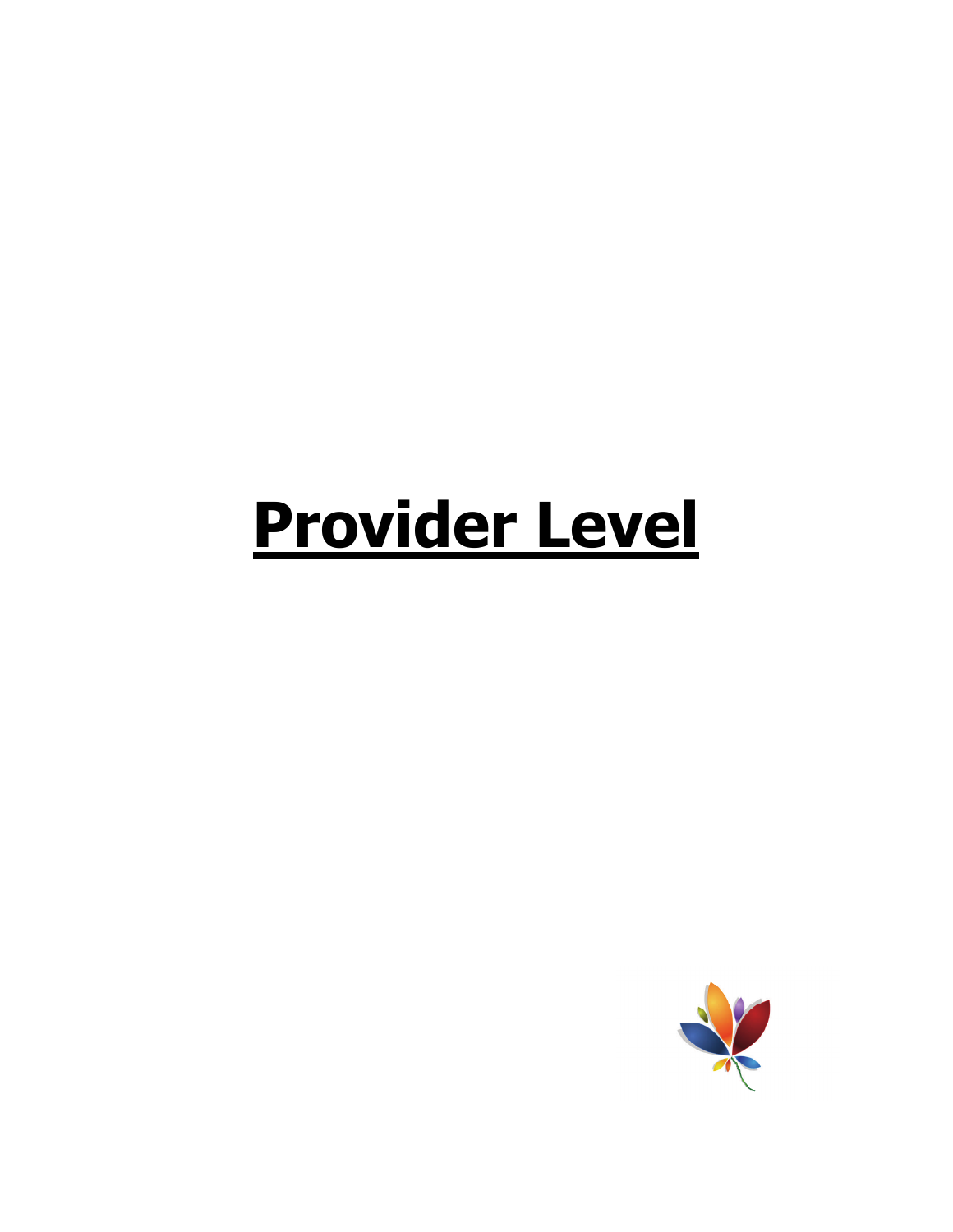## **Provider Level**

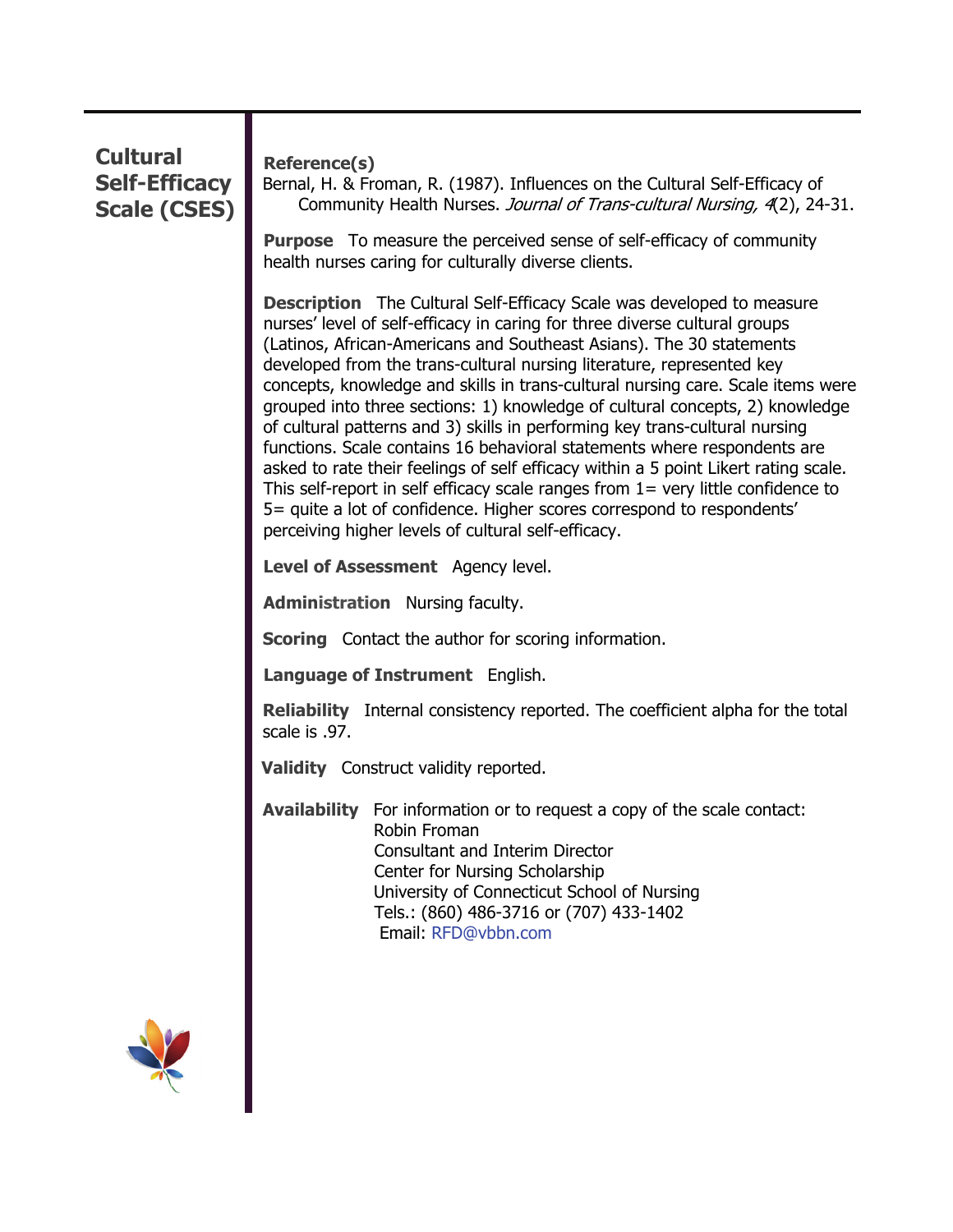### **Cultural Self-Efficacy Scale (CSES) Reference(s)**  Bernal, H. & Froman, R. (1987). Influences on the Cultural Self-Efficacy of Community Health Nurses. Journal of Trans-cultural Nursing, 4(2), 24-31. **Purpose** To measure the perceived sense of self-efficacy of community health nurses caring for culturally diverse clients. **Description** The Cultural Self-Efficacy Scale was developed to measure nurses' level of self-efficacy in caring for three diverse cultural groups (Latinos, African-Americans and Southeast Asians). The 30 statements developed from the trans-cultural nursing literature, represented key concepts, knowledge and skills in trans-cultural nursing care. Scale items were grouped into three sections: 1) knowledge of cultural concepts, 2) knowledge of cultural patterns and 3) skills in performing key trans-cultural nursing functions. Scale contains 16 behavioral statements where respondents are asked to rate their feelings of self efficacy within a 5 point Likert rating scale. This self-report in self efficacy scale ranges from  $1=$  very little confidence to 5= quite a lot of confidence. Higher scores correspond to respondents' perceiving higher levels of cultural self-efficacy.  **Level of Assessment** Agency level. **Administration** Nursing faculty. **Scoring** Contact the author for scoring information. **Language of Instrument** English. **Reliability** Internal consistency reported. The coefficient alpha for the total scale is .97.  **Validity** Construct validity reported. **Availability** For information or to request a copy of the scale contact: Robin Froman Consultant and Interim Director Center for Nursing Scholarship University of Connecticut School of Nursing Tels.: (860) 486-3716 or (707) 433-1402 Email: [RFD@vbbn.com](mailto:RFD@vbbn.com)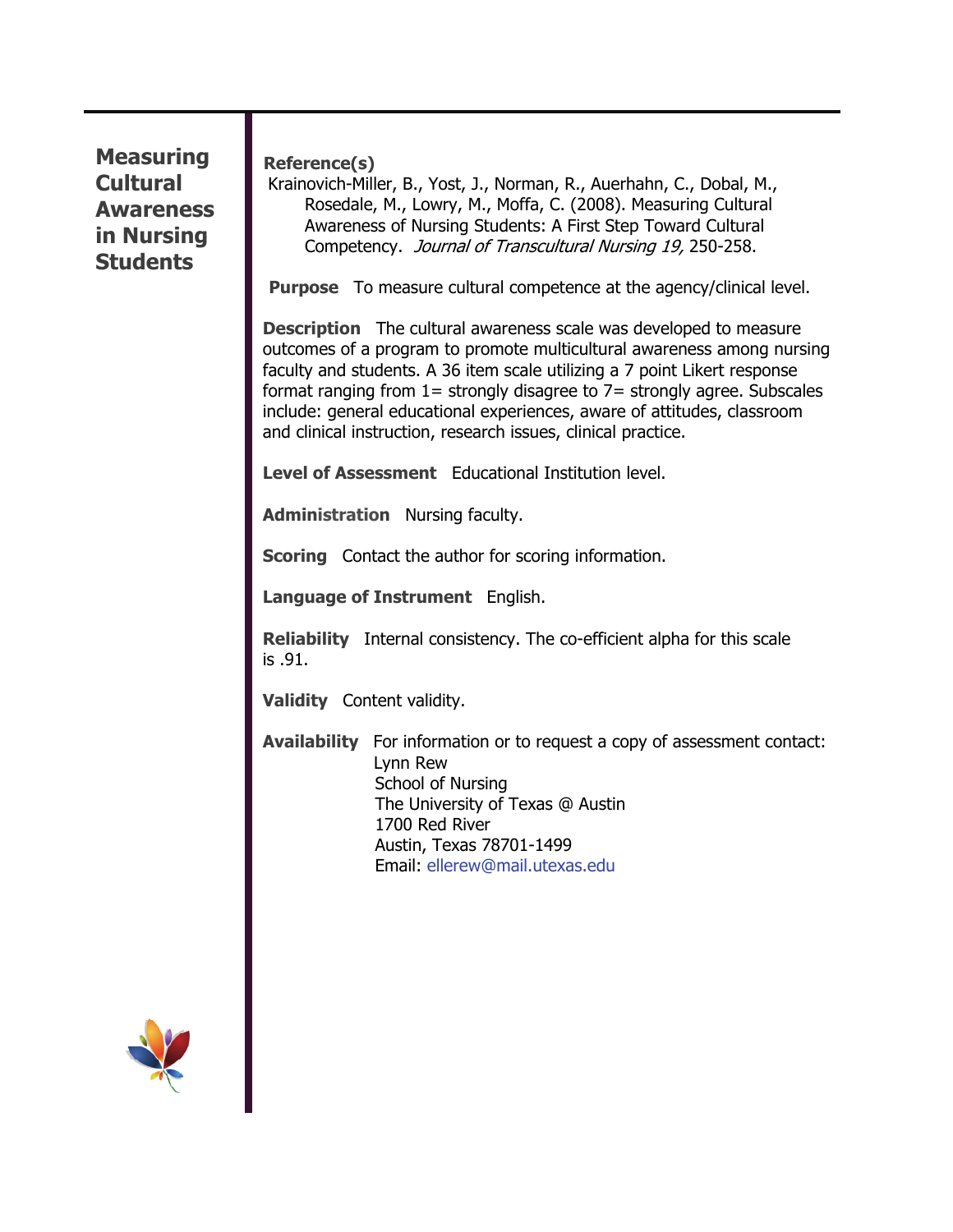#### **Measuring Cultural Awareness in Nursing Students**

**Reference(s)** 

 Krainovich-Miller, B., Yost, J., Norman, R., Auerhahn, C., Dobal, M., Rosedale, M., Lowry, M., Moffa, C. (2008). Measuring Cultural Awareness of Nursing Students: A First Step Toward Cultural Competency. Journal of Transcultural Nursing 19, 250-258.

**Purpose** To measure cultural competence at the agency/clinical level.

**Description** The cultural awareness scale was developed to measure outcomes of a program to promote multicultural awareness among nursing faculty and students. A 36 item scale utilizing a 7 point Likert response format ranging from  $1=$  strongly disagree to  $7=$  strongly agree. Subscales include: general educational experiences, aware of attitudes, classroom and clinical instruction, research issues, clinical practice.

**Level of Assessment** Educational Institution level.

**Administration** Nursing faculty.

**Scoring** Contact the author for scoring information.

**Language of Instrument** English.

**Reliability** Internal consistency. The co-efficient alpha for this scale is .91.

**Validity** Content validity.

**Availability** For information or to request a copy of assessment contact: Lynn Rew School of Nursing The University of Texas @ Austin 1700 Red River Austin, Texas 78701-1499 Email: ellerew@mail.utexas.edu

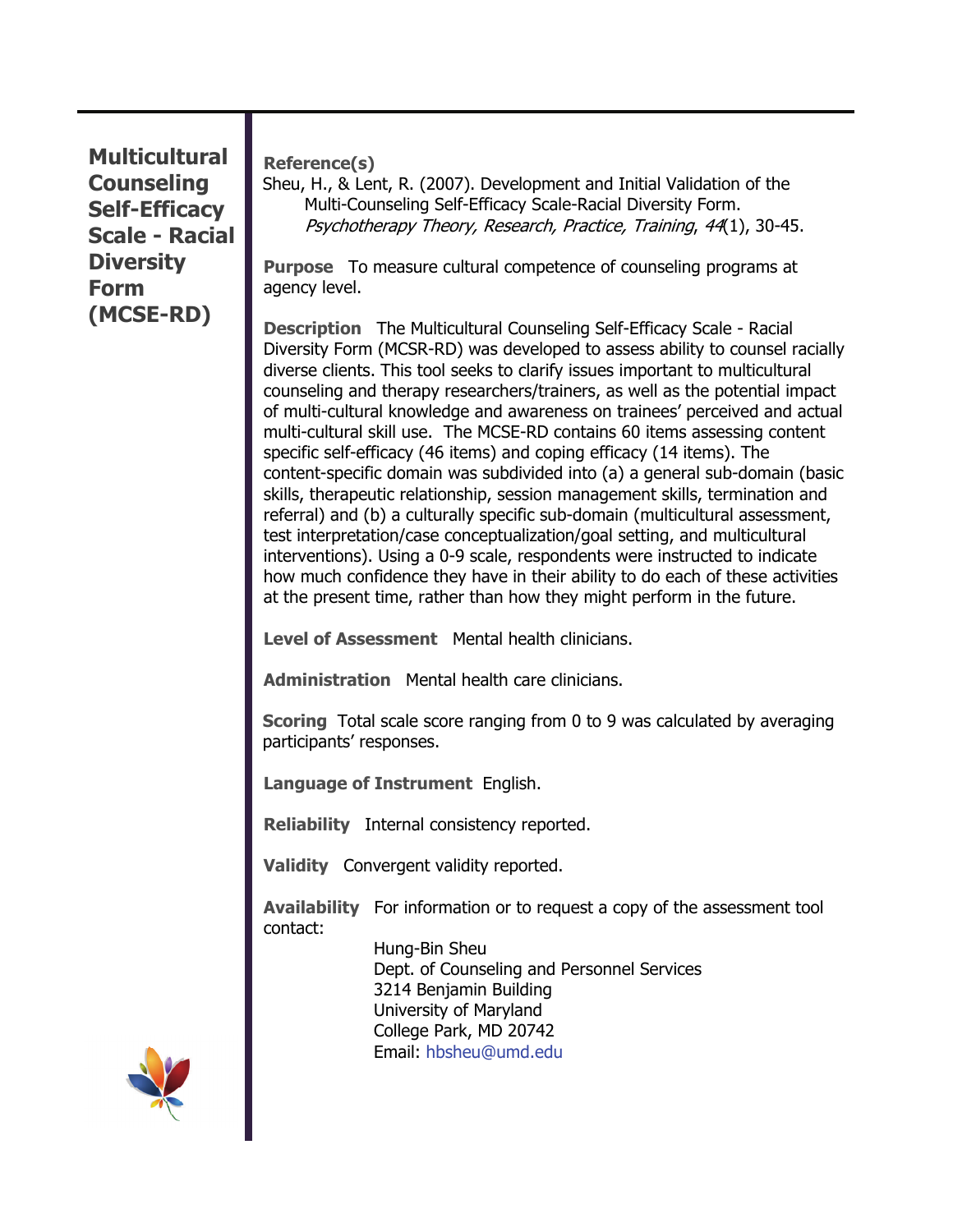**Multicultural Counseling Self-Efficacy Scale - Racial Diversity Form (MCSE-RD)** 

**Reference(s)** 

Sheu, H., & Lent, R. (2007). Development and Initial Validation of the Multi-Counseling Self-Efficacy Scale-Racial Diversity Form. Psychotherapy Theory, Research, Practice, Training, 44(1), 30-45.

**Purpose** To measure cultural competence of counseling programs at agency level.

**Description** The Multicultural Counseling Self-Efficacy Scale - Racial Diversity Form (MCSR-RD) was developed to assess ability to counsel racially diverse clients. This tool seeks to clarify issues important to multicultural counseling and therapy researchers/trainers, as well as the potential impact of multi-cultural knowledge and awareness on trainees' perceived and actual multi-cultural skill use. The MCSE-RD contains 60 items assessing content specific self-efficacy (46 items) and coping efficacy (14 items). The content-specific domain was subdivided into (a) a general sub-domain (basic skills, therapeutic relationship, session management skills, termination and referral) and (b) a culturally specific sub-domain (multicultural assessment, test interpretation/case conceptualization/goal setting, and multicultural interventions). Using a 0-9 scale, respondents were instructed to indicate how much confidence they have in their ability to do each of these activities at the present time, rather than how they might perform in the future.

**Level of Assessment** Mental health clinicians.

**Administration** Mental health care clinicians.

**Scoring** Total scale score ranging from 0 to 9 was calculated by averaging participants' responses.

**Language of Instrument** English.

**Reliability** Internal consistency reported.

**Validity** Convergent validity reported.

**Availability** For information or to request a copy of the assessment tool contact:

> Hung-Bin Sheu Dept. of Counseling and Personnel Services 3214 Benjamin Building University of Maryland College Park, MD 20742 Email: [hbsheu@umd.edu](mailto:hbsheu@umd.edu)

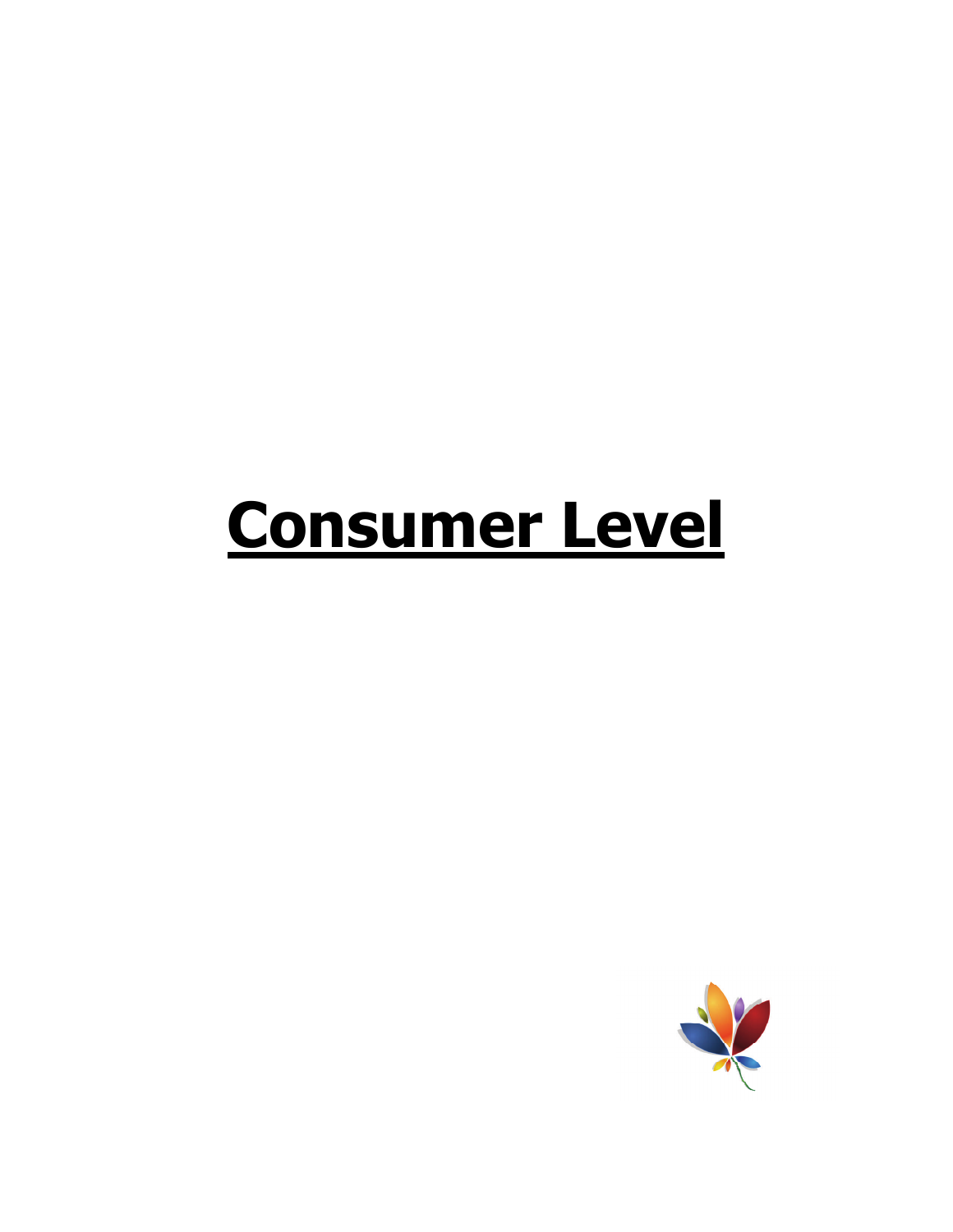## **Consumer Level**

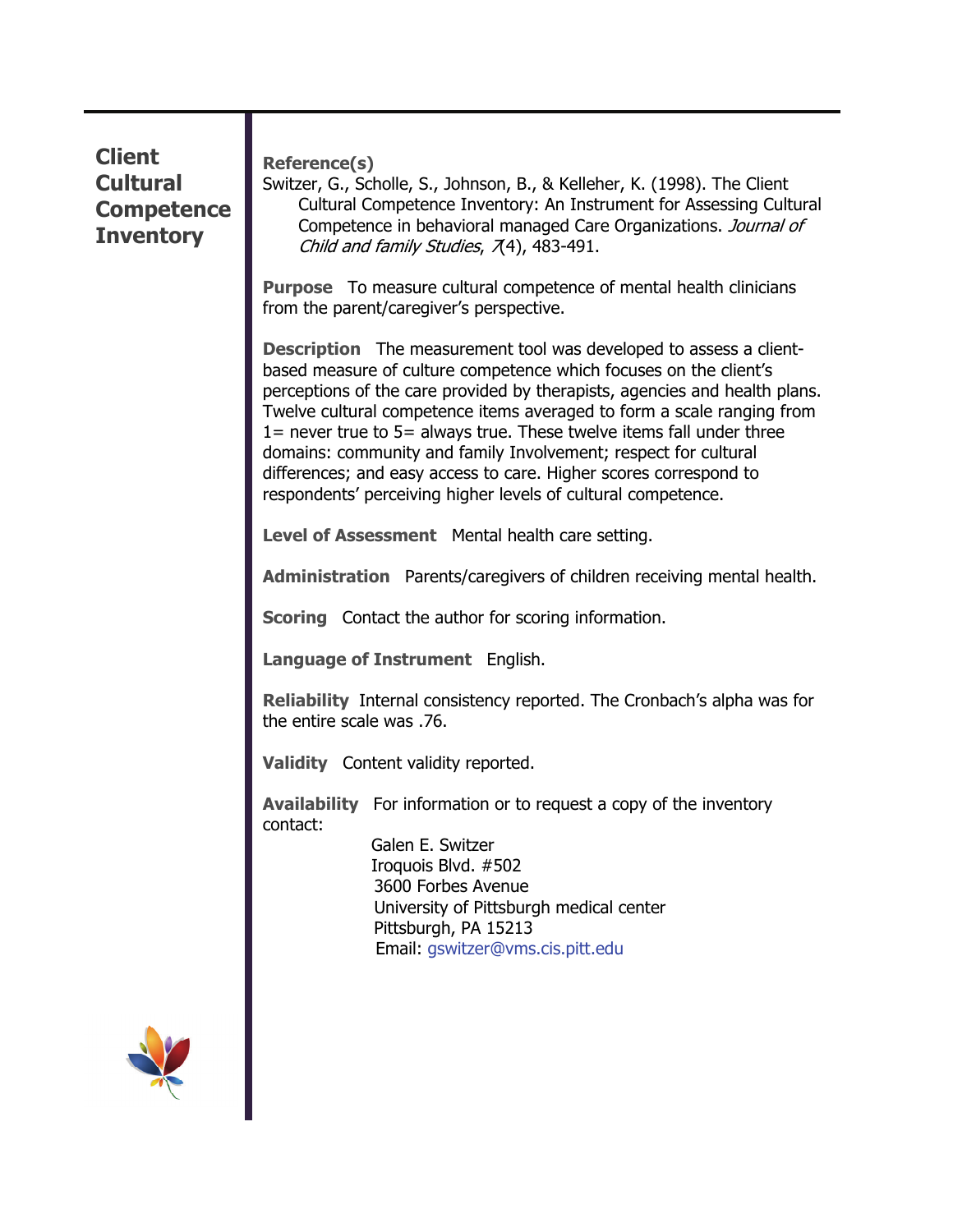| <b>Client</b><br><b>Cultural</b><br><b>Competence</b><br><b>Inventory</b> | <b>Reference(s)</b><br>Switzer, G., Scholle, S., Johnson, B., & Kelleher, K. (1998). The Client<br>Cultural Competence Inventory: An Instrument for Assessing Cultural<br>Competence in behavioral managed Care Organizations. Journal of<br>Child and family Studies, 7(4), 483-491.                                                                                                                                                                                                                                                                                                   |
|---------------------------------------------------------------------------|-----------------------------------------------------------------------------------------------------------------------------------------------------------------------------------------------------------------------------------------------------------------------------------------------------------------------------------------------------------------------------------------------------------------------------------------------------------------------------------------------------------------------------------------------------------------------------------------|
|                                                                           | <b>Purpose</b> To measure cultural competence of mental health clinicians<br>from the parent/caregiver's perspective.                                                                                                                                                                                                                                                                                                                                                                                                                                                                   |
|                                                                           | <b>Description</b> The measurement tool was developed to assess a client-<br>based measure of culture competence which focuses on the client's<br>perceptions of the care provided by therapists, agencies and health plans.<br>Twelve cultural competence items averaged to form a scale ranging from<br>1= never true to 5= always true. These twelve items fall under three<br>domains: community and family Involvement; respect for cultural<br>differences; and easy access to care. Higher scores correspond to<br>respondents' perceiving higher levels of cultural competence. |
|                                                                           | Level of Assessment Mental health care setting.                                                                                                                                                                                                                                                                                                                                                                                                                                                                                                                                         |
|                                                                           | <b>Administration</b> Parents/caregivers of children receiving mental health.                                                                                                                                                                                                                                                                                                                                                                                                                                                                                                           |
|                                                                           | <b>Scoring</b> Contact the author for scoring information.                                                                                                                                                                                                                                                                                                                                                                                                                                                                                                                              |
|                                                                           | Language of Instrument English.                                                                                                                                                                                                                                                                                                                                                                                                                                                                                                                                                         |
|                                                                           | <b>Reliability</b> Internal consistency reported. The Cronbach's alpha was for<br>the entire scale was .76.                                                                                                                                                                                                                                                                                                                                                                                                                                                                             |
|                                                                           | Validity Content validity reported.                                                                                                                                                                                                                                                                                                                                                                                                                                                                                                                                                     |
|                                                                           | <b>Availability</b> For information or to request a copy of the inventory<br>contact:                                                                                                                                                                                                                                                                                                                                                                                                                                                                                                   |
|                                                                           | Galen E. Switzer<br>Iroquois Blvd. #502<br>3600 Forbes Avenue<br>University of Pittsburgh medical center<br>Pittsburgh, PA 15213<br>Email: gswitzer@vms.cis.pitt.edu                                                                                                                                                                                                                                                                                                                                                                                                                    |
|                                                                           |                                                                                                                                                                                                                                                                                                                                                                                                                                                                                                                                                                                         |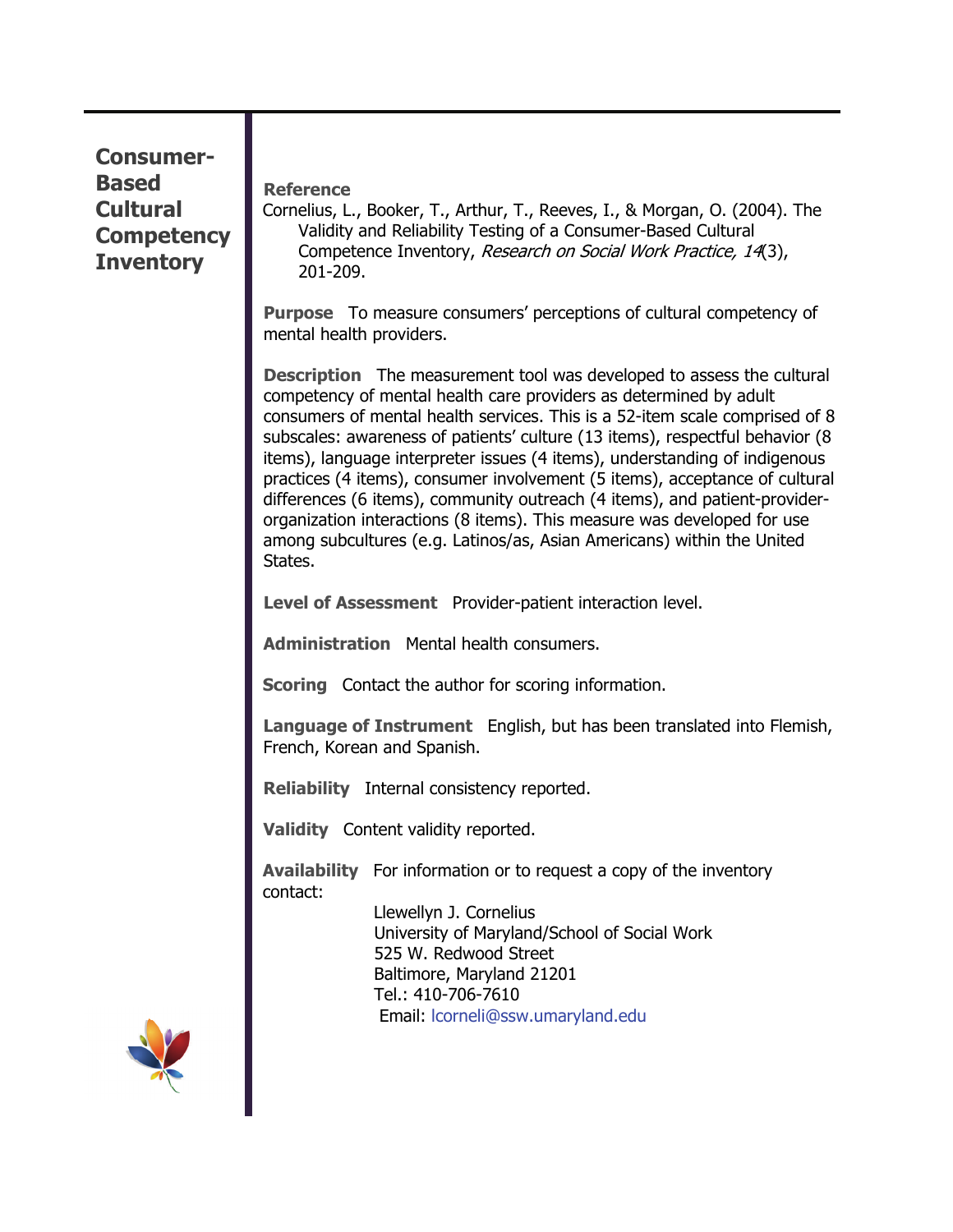| <b>Consumer-</b><br><b>Based</b><br><b>Cultural</b><br><b>Competency</b><br><b>Inventory</b> | <b>Reference</b><br>Cornelius, L., Booker, T., Arthur, T., Reeves, I., & Morgan, O. (2004). The<br>Validity and Reliability Testing of a Consumer-Based Cultural<br>Competence Inventory, Research on Social Work Practice, 14(3),<br>201-209.                                                                                                                                                                                                                                                                                                                                                                                                                                                                              |
|----------------------------------------------------------------------------------------------|-----------------------------------------------------------------------------------------------------------------------------------------------------------------------------------------------------------------------------------------------------------------------------------------------------------------------------------------------------------------------------------------------------------------------------------------------------------------------------------------------------------------------------------------------------------------------------------------------------------------------------------------------------------------------------------------------------------------------------|
|                                                                                              | <b>Purpose</b> To measure consumers' perceptions of cultural competency of<br>mental health providers.                                                                                                                                                                                                                                                                                                                                                                                                                                                                                                                                                                                                                      |
|                                                                                              | <b>Description</b> The measurement tool was developed to assess the cultural<br>competency of mental health care providers as determined by adult<br>consumers of mental health services. This is a 52-item scale comprised of 8<br>subscales: awareness of patients' culture (13 items), respectful behavior (8<br>items), language interpreter issues (4 items), understanding of indigenous<br>practices (4 items), consumer involvement (5 items), acceptance of cultural<br>differences (6 items), community outreach (4 items), and patient-provider-<br>organization interactions (8 items). This measure was developed for use<br>among subcultures (e.g. Latinos/as, Asian Americans) within the United<br>States. |
|                                                                                              | Level of Assessment Provider-patient interaction level.                                                                                                                                                                                                                                                                                                                                                                                                                                                                                                                                                                                                                                                                     |
|                                                                                              | <b>Administration</b> Mental health consumers.                                                                                                                                                                                                                                                                                                                                                                                                                                                                                                                                                                                                                                                                              |
|                                                                                              | <b>Scoring</b> Contact the author for scoring information.                                                                                                                                                                                                                                                                                                                                                                                                                                                                                                                                                                                                                                                                  |
|                                                                                              | <b>Language of Instrument</b> English, but has been translated into Flemish,<br>French, Korean and Spanish.                                                                                                                                                                                                                                                                                                                                                                                                                                                                                                                                                                                                                 |
|                                                                                              | <b>Reliability</b> Internal consistency reported.                                                                                                                                                                                                                                                                                                                                                                                                                                                                                                                                                                                                                                                                           |
|                                                                                              | Validity Content validity reported.                                                                                                                                                                                                                                                                                                                                                                                                                                                                                                                                                                                                                                                                                         |
|                                                                                              | <b>Availability</b> For information or to request a copy of the inventory<br>contact:<br>Llewellyn J. Cornelius<br>University of Maryland/School of Social Work<br>525 W. Redwood Street<br>Baltimore, Maryland 21201<br>Tel.: 410-706-7610<br>Email: Icorneli@ssw.umaryland.edu                                                                                                                                                                                                                                                                                                                                                                                                                                            |
|                                                                                              |                                                                                                                                                                                                                                                                                                                                                                                                                                                                                                                                                                                                                                                                                                                             |

П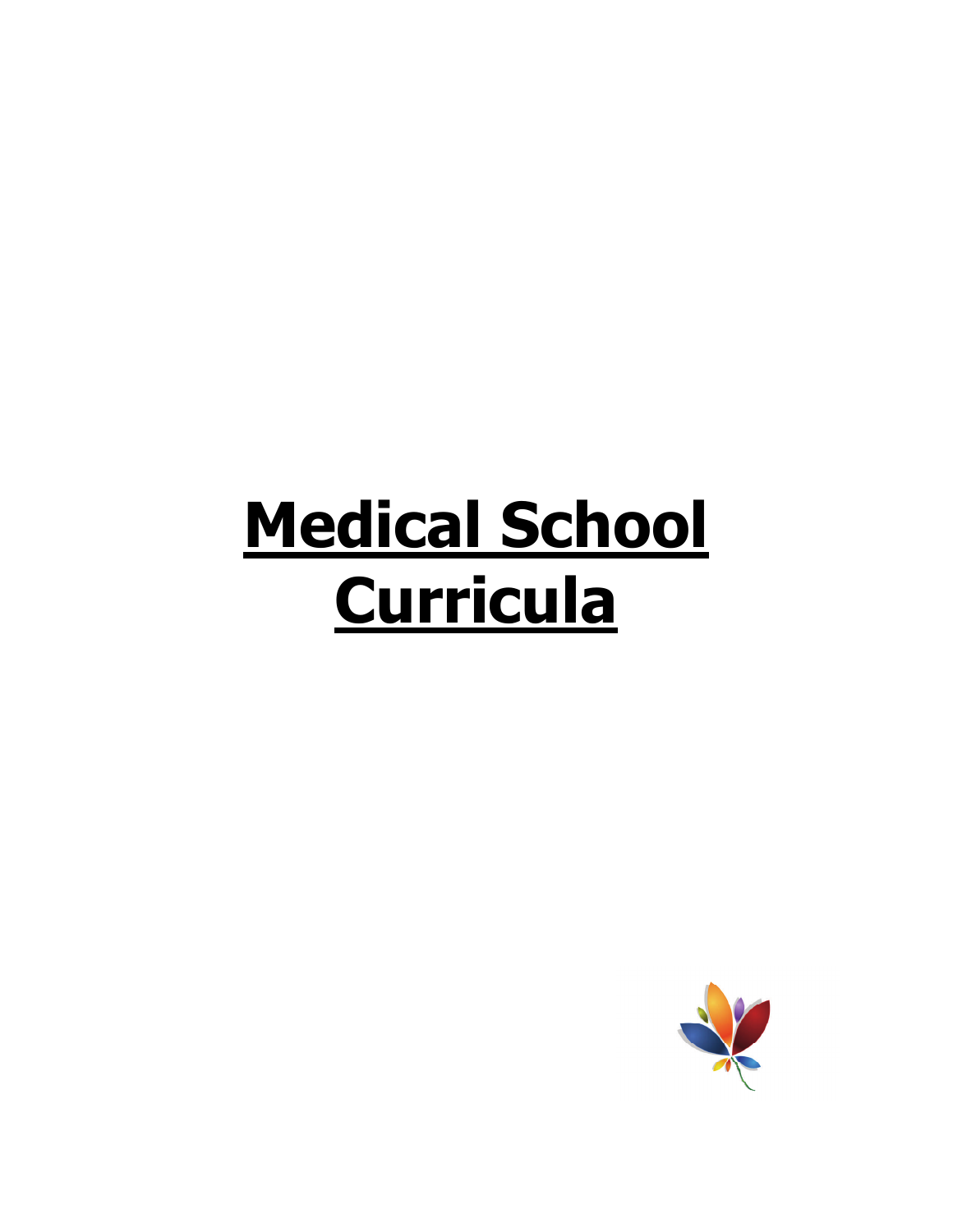# **Medical School Curricula**